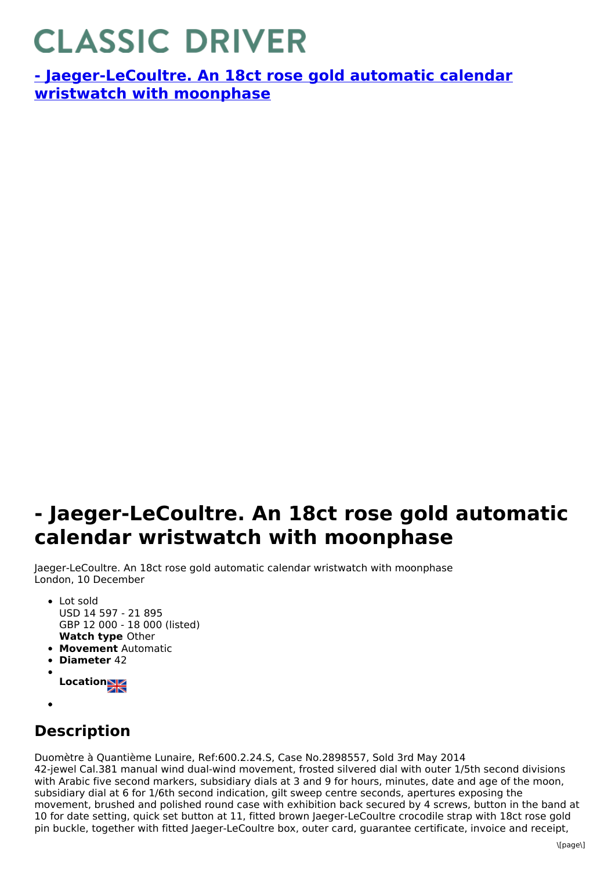## **CLASSIC DRIVER**

**- [Jaeger-LeCoultre.](https://www.classicdriver.com/en/watch/269373) An 18ct rose gold automatic calendar wristwatch with moonphase**

## **- Jaeger-LeCoultre. An 18ct rose gold automatic calendar wristwatch with moonphase**

Jaeger-LeCoultre. An 18ct rose gold automatic calendar wristwatch with moonphase London, 10 December

- **Watch type** Other • Lot sold USD 14 597 - 21 895 GBP 12 000 - 18 000 (listed)
- **Movement** Automatic
- **Diameter** 42
- **Location**
- 

## **Description**

Duomètre à Quantième Lunaire, Ref:600.2.24.S, Case No.2898557, Sold 3rd May 2014 42-jewel Cal.381 manual wind dual-wind movement, frosted silvered dial with outer 1/5th second divisions with Arabic five second markers, subsidiary dials at 3 and 9 for hours, minutes, date and age of the moon, subsidiary dial at 6 for 1/6th second indication, gilt sweep centre seconds, apertures exposing the movement, brushed and polished round case with exhibition back secured by 4 screws, button in the band at 10 for date setting, quick set button at 11, fitted brown Jaeger-LeCoultre crocodile strap with 18ct rose gold pin buckle, together with fitted Jaeger-LeCoultre box, outer card, guarantee certificate, invoice and receipt,